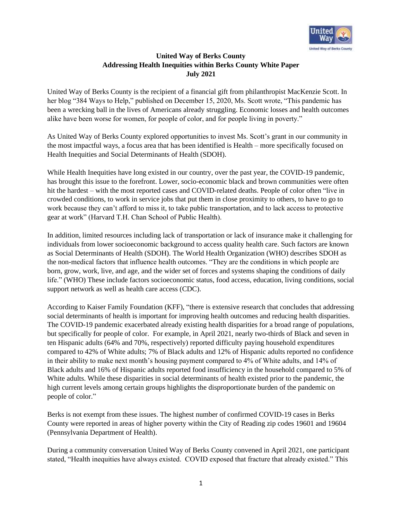

## **United Way of Berks County Addressing Health Inequities within Berks County White Paper July 2021**

United Way of Berks County is the recipient of a financial gift from philanthropist MacKenzie Scott. In her blog "384 Ways to Help," published on December 15, 2020, Ms. Scott wrote, "This pandemic has been a wrecking ball in the lives of Americans already struggling. Economic losses and health outcomes alike have been worse for women, for people of color, and for people living in poverty."

As United Way of Berks County explored opportunities to invest Ms. Scott's grant in our community in the most impactful ways, a focus area that has been identified is Health – more specifically focused on Health Inequities and Social Determinants of Health (SDOH).

While Health Inequities have long existed in our country, over the past year, the COVID-19 pandemic, has brought this issue to the forefront. Lower, socio-economic black and brown communities were often hit the hardest – with the most reported cases and COVID-related deaths. People of color often "live in crowded conditions, to work in service jobs that put them in close proximity to others, to have to go to work because they can't afford to miss it, to take public transportation, and to lack access to protective gear at work" (Harvard T.H. Chan School of Public Health).

In addition, limited resources including lack of transportation or lack of insurance make it challenging for individuals from lower socioeconomic background to access quality health care. Such factors are known as Social Determinants of Health (SDOH). The World Health Organization (WHO) describes SDOH as the non-medical factors that influence health outcomes. "They are the conditions in which people are born, grow, work, live, and age, and the wider set of forces and systems shaping the conditions of daily life." (WHO) These include factors socioeconomic status, food access, education, living conditions, social support network as well as health care access (CDC).

According to Kaiser Family Foundation (KFF), "there is extensive research that concludes that addressing social determinants of health is important for improving health outcomes and reducing health disparities. The COVID-19 pandemic exacerbated already existing health disparities for a broad range of populations, but specifically for people of color. For example, in April 2021, nearly two-thirds of Black and seven in ten Hispanic adults (64% and 70%, respectively) reported difficulty paying household expenditures compared to 42% of White adults; 7% of Black adults and 12% of Hispanic adults reported no confidence in their ability to make next month's housing payment compared to 4% of White adults, and 14% of Black adults and 16% of Hispanic adults reported food insufficiency in the household compared to 5% of White adults. While these disparities in social determinants of health existed prior to the pandemic, the high current levels among certain groups highlights the disproportionate burden of the pandemic on people of color."

Berks is not exempt from these issues. The highest number of confirmed COVID-19 cases in Berks County were reported in areas of higher poverty within the City of Reading zip codes 19601 and 19604 (Pennsylvania Department of Health).

During a community conversation United Way of Berks County convened in April 2021, one participant stated, "Health inequities have always existed. COVID exposed that fracture that already existed." This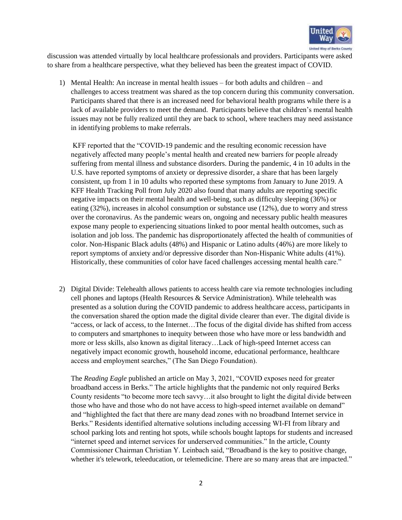

discussion was attended virtually by local healthcare professionals and providers. Participants were asked to share from a healthcare perspective, what they believed has been the greatest impact of COVID.

1) Mental Health: An increase in mental health issues – for both adults and children – and challenges to access treatment was shared as the top concern during this community conversation. Participants shared that there is an increased need for behavioral health programs while there is a lack of available providers to meet the demand. Participants believe that children's mental health issues may not be fully realized until they are back to school, where teachers may need assistance in identifying problems to make referrals.

KFF reported that the "COVID-19 pandemic and the resulting economic recession have negatively affected many people's mental health and created new barriers for people already suffering from mental illness and substance disorders. During the pandemic, 4 in 10 adults in the U.S. have reported symptoms of anxiety or depressive disorder, a share that has been largely consistent, up from 1 in 10 adults who reported these symptoms from January to June 2019. A KFF Health Tracking Poll from July 2020 also found that many adults are reporting specific negative impacts on their mental health and well-being, such as difficulty sleeping (36%) or eating (32%), increases in alcohol consumption or substance use (12%), due to worry and stress over the coronavirus. As the pandemic wears on, ongoing and necessary public health measures expose many people to experiencing situations linked to poor mental health outcomes, such as isolation and job loss. The pandemic has disproportionately affected the health of communities of color. Non-Hispanic Black adults (48%) and Hispanic or Latino adults (46%) are more likely to report symptoms of anxiety and/or depressive disorder than Non-Hispanic White adults (41%). Historically, these communities of color have faced challenges accessing mental health care."

2) Digital Divide: Telehealth allows patients to access health care via remote technologies including cell phones and laptops (Health Resources & Service Administration). While telehealth was presented as a solution during the COVID pandemic to address healthcare access, participants in the conversation shared the option made the digital divide clearer than ever. The digital divide is "access, or lack of access, to the Internet…The focus of the digital divide has shifted from access to computers and smartphones to inequity between those who have more or less bandwidth and more or less skills, also known as digital literacy…Lack of high-speed Internet access can negatively impact economic growth, household income, educational performance, healthcare access and employment searches," (The San Diego Foundation).

The *Reading Eagle* published an article on May 3, 2021, "COVID exposes need for greater broadband access in Berks." The article highlights that the pandemic not only required Berks County residents "to become more tech savvy…it also brought to light the digital divide between those who have and those who do not have access to high-speed internet available on demand" and "highlighted the fact that there are many dead zones with no broadband Internet service in Berks." Residents identified alternative solutions including accessing WI-FI from library and school parking lots and renting hot spots, while schools bought laptops for students and increased "internet speed and internet services for underserved communities." In the article, County Commissioner Chairman Christian Y. Leinbach said, "Broadband is the key to positive change, whether it's telework, teleeducation, or telemedicine. There are so many areas that are impacted."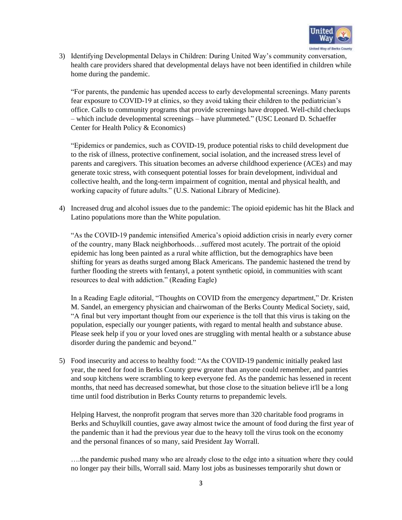

3) Identifying Developmental Delays in Children: During United Way's community conversation, health care providers shared that developmental delays have not been identified in children while home during the pandemic.

"For parents, the pandemic has upended access to early developmental screenings. Many parents fear exposure to COVID-19 at clinics, so they avoid taking their children to the pediatrician's office. Calls to community programs that provide screenings have dropped. Well-child checkups – which include developmental screenings – have plummeted." (USC Leonard D. Schaeffer Center for Health Policy & Economics)

"Epidemics or pandemics, such as COVID-19, produce potential risks to child development due to the risk of illness, protective confinement, social isolation, and the increased stress level of parents and caregivers. This situation becomes an adverse childhood experience (ACEs) and may generate toxic stress, with consequent potential losses for brain development, individual and collective health, and the long-term impairment of cognition, mental and physical health, and working capacity of future adults." (U.S. National Library of Medicine).

4) Increased drug and alcohol issues due to the pandemic: The opioid epidemic has hit the Black and Latino populations more than the White population.

"As the COVID-19 pandemic intensified America's opioid addiction crisis in nearly every corner of the country, many Black neighborhoods…suffered most acutely. The portrait of the opioid epidemic has long been painted as a rural white affliction, but the demographics have been shifting for years as deaths surged among Black Americans. The pandemic hastened the trend by further flooding the streets with fentanyl, a potent synthetic opioid, in communities with scant resources to deal with addiction." (Reading Eagle)

In a Reading Eagle editorial, "Thoughts on COVID from the emergency department," Dr. Kristen M. Sandel, an emergency physician and chairwoman of the Berks County Medical Society, said, "A final but very important thought from our experience is the toll that this virus is taking on the population, especially our younger patients, with regard to mental health and substance abuse. Please seek help if you or your loved ones are struggling with mental health or a substance abuse disorder during the pandemic and beyond."

5) Food insecurity and access to healthy food: "As the COVID-19 pandemic initially peaked last year, the need for food in Berks County grew greater than anyone could remember, and pantries and soup kitchens were scrambling to keep everyone fed. As the pandemic has lessened in recent months, that need has decreased somewhat, but those close to the situation believe it'll be a long time until food distribution in Berks County returns to prepandemic levels.

Helping Harvest, the nonprofit program that serves more than 320 charitable food programs in Berks and Schuylkill counties, gave away almost twice the amount of food during the first year of the pandemic than it had the previous year due to the heavy toll the virus took on the economy and the personal finances of so many, said President Jay Worrall.

….the pandemic pushed many who are already close to the edge into a situation where they could no longer pay their bills, Worrall said. Many lost jobs as businesses temporarily shut down or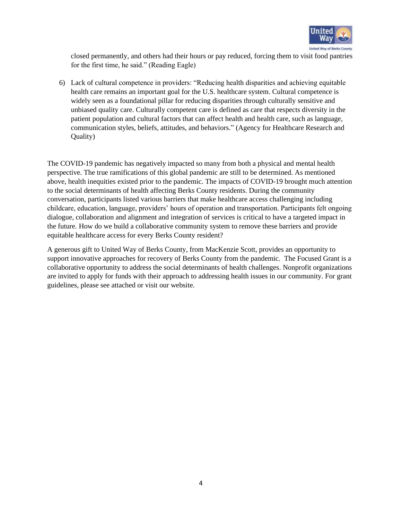

closed permanently, and others had their hours or pay reduced, forcing them to visit food pantries for the first time, he said." (Reading Eagle)

6) Lack of cultural competence in providers: "Reducing health disparities and achieving equitable health care remains an important goal for the U.S. healthcare system. Cultural competence is widely seen as a foundational pillar for reducing disparities through culturally sensitive and unbiased quality care. Culturally competent care is defined as care that respects diversity in the patient population and cultural factors that can affect health and health care, such as language, communication styles, beliefs, attitudes, and behaviors." (Agency for Healthcare Research and Quality)

The COVID-19 pandemic has negatively impacted so many from both a physical and mental health perspective. The true ramifications of this global pandemic are still to be determined. As mentioned above, health inequities existed prior to the pandemic. The impacts of COVID-19 brought much attention to the social determinants of health affecting Berks County residents. During the community conversation, participants listed various barriers that make healthcare access challenging including childcare, education, language, providers' hours of operation and transportation. Participants felt ongoing dialogue, collaboration and alignment and integration of services is critical to have a targeted impact in the future. How do we build a collaborative community system to remove these barriers and provide equitable healthcare access for every Berks County resident?

A generous gift to United Way of Berks County, from MacKenzie Scott, provides an opportunity to support innovative approaches for recovery of Berks County from the pandemic. The Focused Grant is a collaborative opportunity to address the social determinants of health challenges. Nonprofit organizations are invited to apply for funds with their approach to addressing health issues in our community. For grant guidelines, please see attached or visit our website.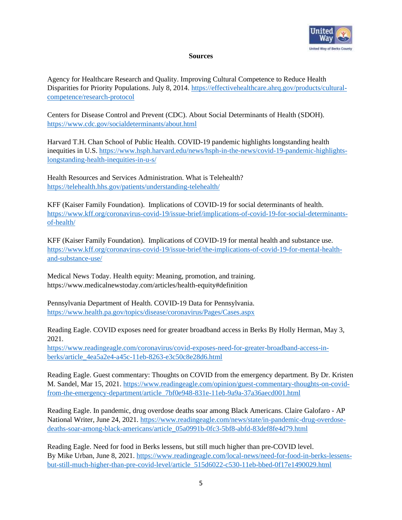

## **Sources**

Agency for Healthcare Research and Quality. Improving Cultural Competence to Reduce Health Disparities for Priority Populations. July 8, 2014. [https://effectivehealthcare.ahrq.gov/products/cultural](https://effectivehealthcare.ahrq.gov/products/cultural-competence/research-protocol)[competence/research-protocol](https://effectivehealthcare.ahrq.gov/products/cultural-competence/research-protocol)

Centers for Disease Control and Prevent (CDC). About Social Determinants of Health (SDOH). <https://www.cdc.gov/socialdeterminants/about.html>

Harvard T.H. Chan School of Public Health. COVID-19 pandemic highlights longstanding health inequities in U.S. [https://www.hsph.harvard.edu/news/hsph-in-the-news/covid-19-pandemic-highlights](https://www.hsph.harvard.edu/news/hsph-in-the-news/covid-19-pandemic-highlights-longstanding-health-inequities-in-u-s/)[longstanding-health-inequities-in-u-s/](https://www.hsph.harvard.edu/news/hsph-in-the-news/covid-19-pandemic-highlights-longstanding-health-inequities-in-u-s/)

Health Resources and Services Administration. What is Telehealth? <https://telehealth.hhs.gov/patients/understanding-telehealth/>

KFF (Kaiser Family Foundation). Implications of COVID-19 for social determinants of health. [https://www.kff.org/coronavirus-covid-19/issue-brief/implications-of-covid-19-for-social-determinants](https://www.kff.org/coronavirus-covid-19/issue-brief/implications-of-covid-19-for-social-determinants-of-health/)[of-health/](https://www.kff.org/coronavirus-covid-19/issue-brief/implications-of-covid-19-for-social-determinants-of-health/)

KFF (Kaiser Family Foundation). Implications of COVID-19 for mental health and substance use. [https://www.kff.org/coronavirus-covid-19/issue-brief/the-implications-of-covid-19-for-mental-health](https://www.kff.org/coronavirus-covid-19/issue-brief/the-implications-of-covid-19-for-mental-health-and-substance-use/)[and-substance-use/](https://www.kff.org/coronavirus-covid-19/issue-brief/the-implications-of-covid-19-for-mental-health-and-substance-use/)

Medical News Today. Health equity: Meaning, promotion, and training. https://www.medicalnewstoday.com/articles/health-equity#definition

Pennsylvania Department of Health. COVID-19 Data for Pennsylvania. <https://www.health.pa.gov/topics/disease/coronavirus/Pages/Cases.aspx>

Reading Eagle. COVID exposes need for greater broadband access in Berks By Holly Herman, May 3, 2021.

[https://www.readingeagle.com/coronavirus/covid-exposes-need-for-greater-broadband-access-in](https://www.readingeagle.com/coronavirus/covid-exposes-need-for-greater-broadband-access-in-berks/article_4ea5a2e4-a45c-11eb-8263-e3c50c8e28d6.html)[berks/article\\_4ea5a2e4-a45c-11eb-8263-e3c50c8e28d6.html](https://www.readingeagle.com/coronavirus/covid-exposes-need-for-greater-broadband-access-in-berks/article_4ea5a2e4-a45c-11eb-8263-e3c50c8e28d6.html)

Reading Eagle. Guest commentary: Thoughts on COVID from the emergency department. By Dr. Kristen M. Sandel, Mar 15, 2021. [https://www.readingeagle.com/opinion/guest-commentary-thoughts-on-covid](https://www.readingeagle.com/opinion/guest-commentary-thoughts-on-covid-from-the-emergency-department/article_7bf0e948-831e-11eb-9a9a-37a36aecd001.html)[from-the-emergency-department/article\\_7bf0e948-831e-11eb-9a9a-37a36aecd001.html](https://www.readingeagle.com/opinion/guest-commentary-thoughts-on-covid-from-the-emergency-department/article_7bf0e948-831e-11eb-9a9a-37a36aecd001.html)

Reading Eagle. In pandemic, drug overdose deaths soar among Black Americans. Claire Galofaro - AP National Writer, June 24, 2021[. https://www.readingeagle.com/news/state/in-pandemic-drug-overdose](https://www.readingeagle.com/news/state/in-pandemic-drug-overdose-deaths-soar-among-black-americans/article_05a0991b-0fc3-5bf8-abfd-83def8fe4d79.html)[deaths-soar-among-black-americans/article\\_05a0991b-0fc3-5bf8-abfd-83def8fe4d79.html](https://www.readingeagle.com/news/state/in-pandemic-drug-overdose-deaths-soar-among-black-americans/article_05a0991b-0fc3-5bf8-abfd-83def8fe4d79.html)

Reading Eagle. Need for food in Berks lessens, but still much higher than pre-COVID level. By Mike Urban, June 8, 2021. [https://www.readingeagle.com/local-news/need-for-food-in-berks-lessens](https://www.readingeagle.com/local-news/need-for-food-in-berks-lessens-but-still-much-higher-than-pre-covid-level/article_515d6022-c530-11eb-bbed-0f17e1490029.html)[but-still-much-higher-than-pre-covid-level/article\\_515d6022-c530-11eb-bbed-0f17e1490029.html](https://www.readingeagle.com/local-news/need-for-food-in-berks-lessens-but-still-much-higher-than-pre-covid-level/article_515d6022-c530-11eb-bbed-0f17e1490029.html)